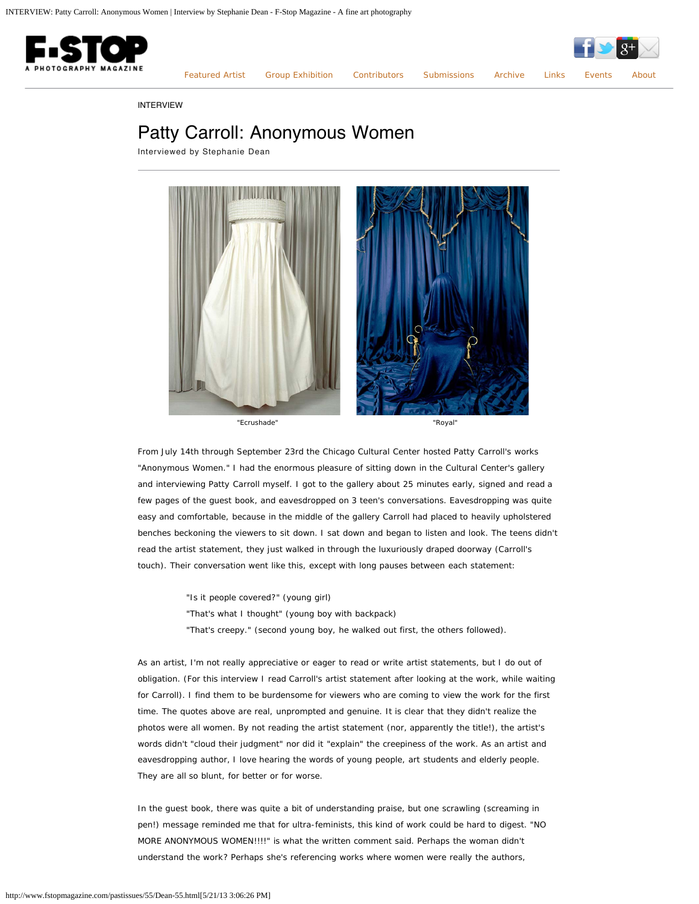

[Featured Artist](http://www.fstopmagazine.com/pastissues/55/featured.html) [Group Exhibition](http://www.fstopmagazine.com/pastissues/55/groupexhibition.html) [Contributors](http://www.fstopmagazine.com/pastissues/55/contributors.html) [Submissions](http://www.fstopmagazine.com/pastissues/55/submissions.html) [Archive](http://www.fstopmagazine.com/pastissues/55/archive.html) [Links](http://www.fstopmagazine.com/pastissues/55/links.html) [Events](http://www.fstopmagazine.com/blog/) [About](http://www.fstopmagazine.com/pastissues/55/about.html)

INTERVIEW

# Patty Carroll: Anonymous Women

Interviewed by Stephanie Dean



From July 14th through September 23rd the Chicago Cultural Center hosted Patty Carroll's works "Anonymous Women." I had the enormous pleasure of sitting down in the Cultural Center's gallery and interviewing Patty Carroll myself. I got to the gallery about 25 minutes early, signed and read a few pages of the guest book, and eavesdropped on 3 teen's conversations. Eavesdropping was quite easy and comfortable, because in the middle of the gallery Carroll had placed to heavily upholstered benches beckoning the viewers to sit down. I sat down and began to listen and look. The teens didn't read the artist statement, they just walked in through the luxuriously draped doorway (Carroll's touch). Their conversation went like this, except with long pauses between each statement:

"Is it people covered?" (young girl)

"That's what I thought" (young boy with backpack)

"That's creepy." (second young boy, he walked out first, the others followed).

As an artist, I'm not really appreciative or eager to read or write artist statements, but I do out of obligation. (For this interview I read Carroll's artist statement after looking at the work, while waiting for Carroll). I find them to be burdensome for viewers who are coming to view the work for the first time. The quotes above are real, unprompted and genuine. It is clear that they didn't realize the photos were all women. By not reading the artist statement (nor, apparently the title!), the artist's words didn't "cloud their judgment" nor did it "explain" the creepiness of the work. As an artist and eavesdropping author, I love hearing the words of young people, art students and elderly people. They are all so blunt, for better or for worse.

In the guest book, there was quite a bit of understanding praise, but one scrawling (screaming in pen!) message reminded me that for ultra-feminists, this kind of work could be hard to digest. "NO MORE ANONYMOUS WOMEN!!!!" is what the written comment said. Perhaps the woman didn't understand the work? Perhaps she's referencing works where women were really the authors,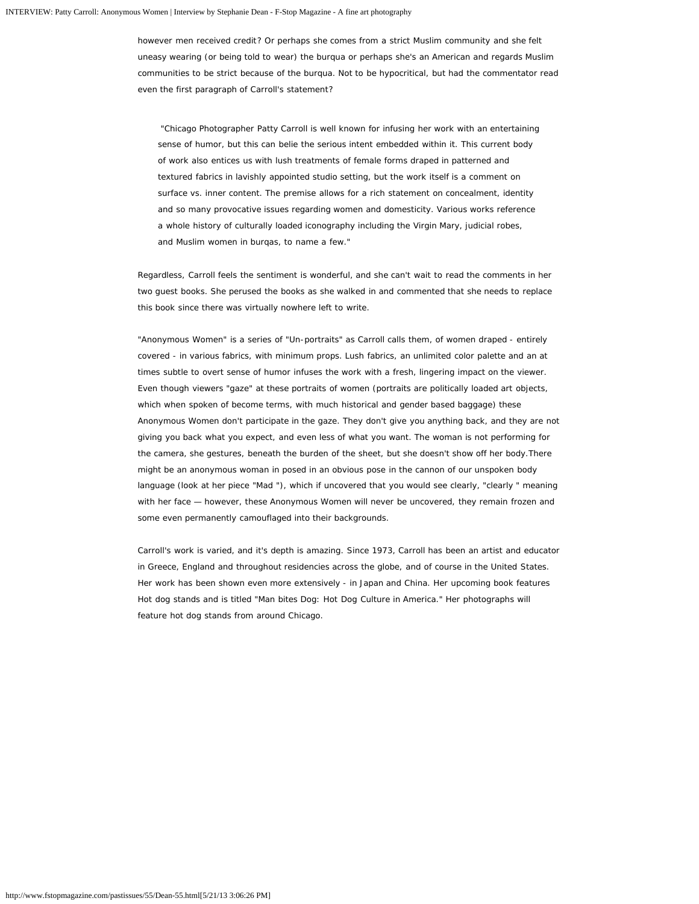however men received credit? Or perhaps she comes from a strict Muslim community and she felt uneasy wearing (or being told to wear) the burqua or perhaps she's an American and regards Muslim communities to be strict because of the burqua. Not to be hypocritical, but had the commentator read even the first paragraph of Carroll's statement?

*"Chicago Photographer Patty Carroll is well known for infusing her work with an entertaining sense of humor, but this can belie the serious intent embedded within it. This current body of work also entices us with lush treatments of female forms draped in patterned and textured fabrics in lavishly appointed studio setting, but the work itself is a comment on surface vs. inner content. The premise allows for a rich statement on concealment, identity and so many provocative issues regarding women and domesticity. Various works reference a whole history of culturally loaded iconography including the Virgin Mary, judicial robes, and Muslim women in burqas, to name a few."*

Regardless, Carroll feels the sentiment is wonderful, and she can't wait to read the comments in her two guest books. She perused the books as she walked in and commented that she needs to replace this book since there was virtually nowhere left to write.

"Anonymous Women" is a series of "Un-portraits" as Carroll calls them, of women draped - *entirely covered* - in various fabrics, with minimum props. Lush fabrics, an unlimited color palette and an at times subtle to overt sense of humor infuses the work with a fresh, lingering impact on the viewer. Even though viewers "gaze" at these portraits of women (portraits are politically loaded art objects, which when spoken of become terms, with much historical and gender based baggage) these Anonymous Women don't participate in the gaze. They don't give you anything back, and they are not giving you back what you expect, and even less of what you want. The woman is not performing for the camera, she gestures, beneath the burden of the sheet, but she doesn't show off her body.There might be an anonymous woman in posed in an obvious pose in the cannon of our unspoken body language (look at her piece "Mad "), which if uncovered that you would see clearly, "clearly " meaning with her face — however, these Anonymous Women will never be uncovered, they remain frozen and some even permanently camouflaged into their backgrounds.

Carroll's work is varied, and it's depth is amazing. Since 1973, Carroll has been an artist and educator in Greece, England and throughout residencies across the globe, and of course in the United States. Her work has been shown even more extensively - in Japan and China. Her upcoming book features Hot dog stands and is titled "Man bites Dog: Hot Dog Culture in America." Her photographs will feature hot dog stands from around Chicago.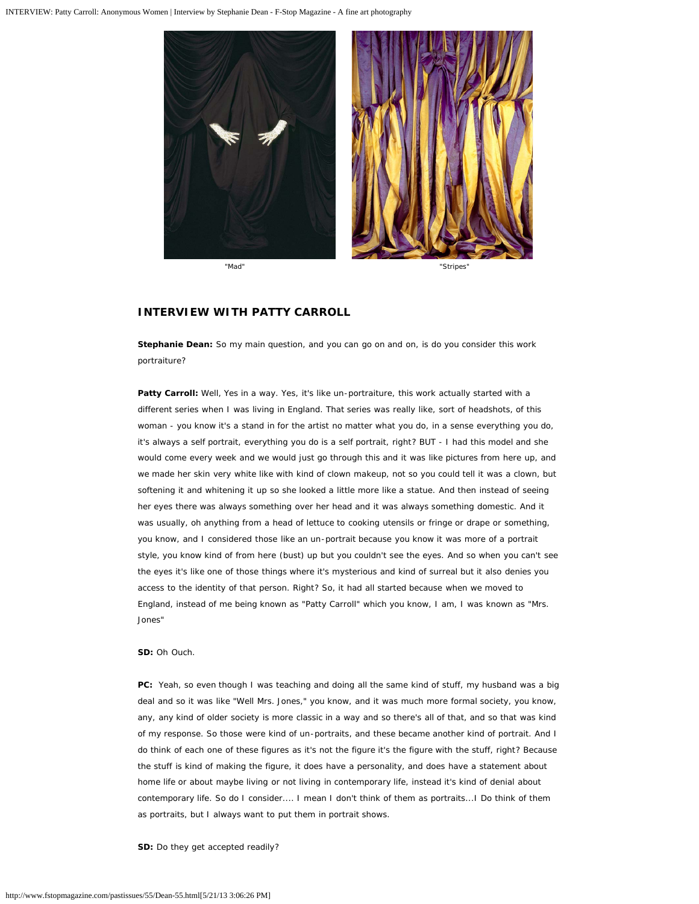

# **INTERVIEW WITH PATTY CARROLL**

**Stephanie Dean:** So my main question, and you can go on and on, is do you consider this work portraiture?

**Patty Carroll:** Well, Yes in a way. Yes, it's like un-portraiture, this work actually started with a different series when I was living in England. That series was really like, sort of headshots, of this woman - you know it's a stand in for the artist no matter what you do, in a sense everything you do, it's always a self portrait, everything you do is a self portrait, right? BUT - I had this model and she would come every week and we would just go through this and it was like pictures from here up, and we made her skin very white like with kind of clown makeup, not so you could tell it was a clown, but softening it and whitening it up so she looked a little more like a statue. And then instead of seeing her eyes there was always something over her head and it was always something domestic. And it was usually, oh anything from a head of lettuce to cooking utensils or fringe or drape or something, you know, and I considered those like an un-portrait because you know it was more of a portrait style, you know kind of from here (bust) up but you couldn't see the eyes. And so when you can't see the eyes it's like one of those things where it's mysterious and kind of surreal but it also denies you access to the identity of that person. Right? So, it had all started because when we moved to England, instead of me being known as "Patty Carroll" which you know, I am, I was known as "Mrs. Jones"

**SD:** Oh Ouch.

**PC:** Yeah, so even though I was teaching and doing all the same kind of stuff, my husband was a big deal and so it was like "Well Mrs. Jones," you know, and it was much more formal society, you know, any, any kind of older society is more classic in a way and so there's all of that, and so that was kind of my response. So those were kind of un-portraits, and these became another kind of portrait. And I do think of each one of these figures as it's not the figure it's the figure with the stuff, right? Because the stuff is kind of making the figure, it does have a personality, and does have a statement about home life or about maybe living or not living in contemporary life, instead it's kind of denial about contemporary life. So do I consider.... I mean I don't think of them as portraits...I Do think of them as portraits, but I always want to put them in portrait shows.

**SD:** Do they get accepted readily?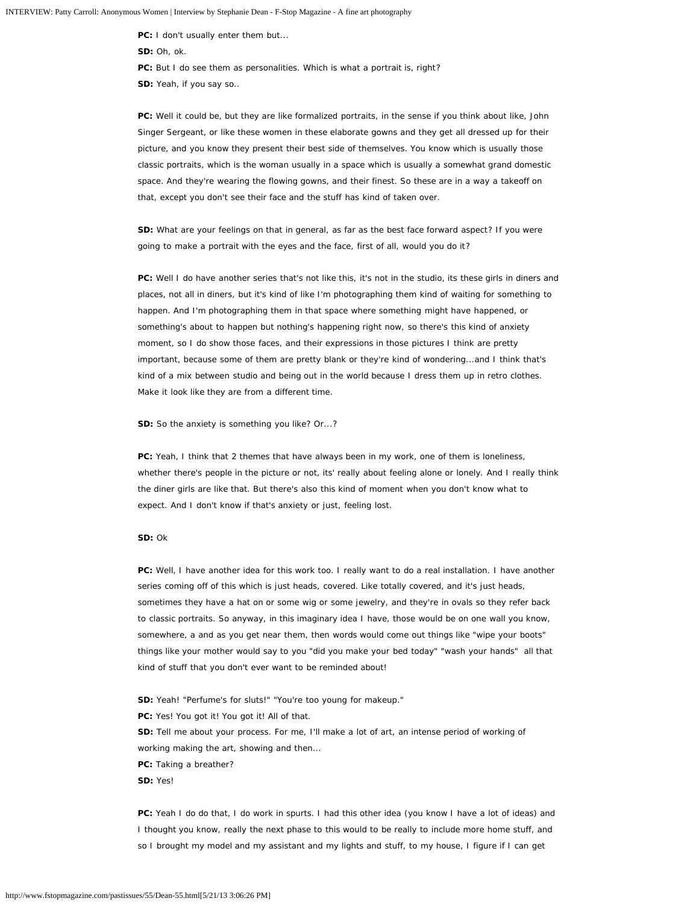**PC:** I don't usually enter them but... **SD:** Oh, ok. **PC:** But I do see them as personalities. Which is what a portrait is, right? **SD:** Yeah, if you say so..

**PC:** Well it could be, but they are like formalized portraits, in the sense if you think about like, John Singer Sergeant, or like these women in these elaborate gowns and they get all dressed up for their picture, and you know they present their best side of themselves. You know which is usually those classic portraits, which is the woman usually in a space which is usually a somewhat grand domestic space. And they're wearing the flowing gowns, and their finest. So these are in a way a takeoff on that, except you don't see their face and the stuff has kind of taken over.

**SD:** What are your feelings on that in general, as far as the best face forward aspect? If you were going to make a portrait with the eyes and the face, first of all, would you do it?

**PC:** Well I do have another series that's not like this, it's not in the studio, its these girls in diners and places, not all in diners, but it's kind of like I'm photographing them kind of waiting for something to happen. And I'm photographing them in that space where something might have happened, or something's about to happen but nothing's happening right now, so there's this kind of anxiety moment, so I do show those faces, and their expressions in those pictures I think are pretty important, because some of them are pretty blank or they're kind of wondering...and I think that's kind of a mix between studio and being out in the world because I dress them up in retro clothes. Make it look like they are from a different time.

**SD:** So the anxiety is something you like? Or...?

**PC:** Yeah, I think that 2 themes that have always been in my work, one of them is loneliness, whether there's people in the picture or not, its' really about feeling alone or lonely. And I really think the diner girls are like that. But there's also this kind of moment when you don't know what to expect. And I don't know if that's anxiety or just, feeling lost.

## **SD:** Ok

**PC:** Well, I have another idea for this work too. I really want to do a real installation. I have another series coming off of this which is just heads, covered. Like totally covered, and it's just heads, sometimes they have a hat on or some wig or some jewelry, and they're in ovals so they refer back to classic portraits. So anyway, in this imaginary idea I have, those would be on one wall you know, somewhere, a and as you get near them, then words would come out things like "wipe your boots" things like your mother would say to you "did you make your bed today" "wash your hands" all that kind of stuff that you don't ever want to be reminded about!

- **SD:** Yeah! "Perfume's for sluts!" "You're too young for makeup."
- PC: Yes! You got it! You got it! All of that.
- **SD:** Tell me about your process. For me, I'll make a lot of art, an intense period of working of
- working making the art, showing and then...
- **PC:** Taking a breather?
- **SD:** Yes!

**PC:** Yeah I do do that, I do work in spurts. I had this other idea (you know I have a lot of ideas) and I thought you know, really the next phase to this would to be really to include more home stuff, and so I brought my model and my assistant and my lights and stuff, to my house, I figure if I can get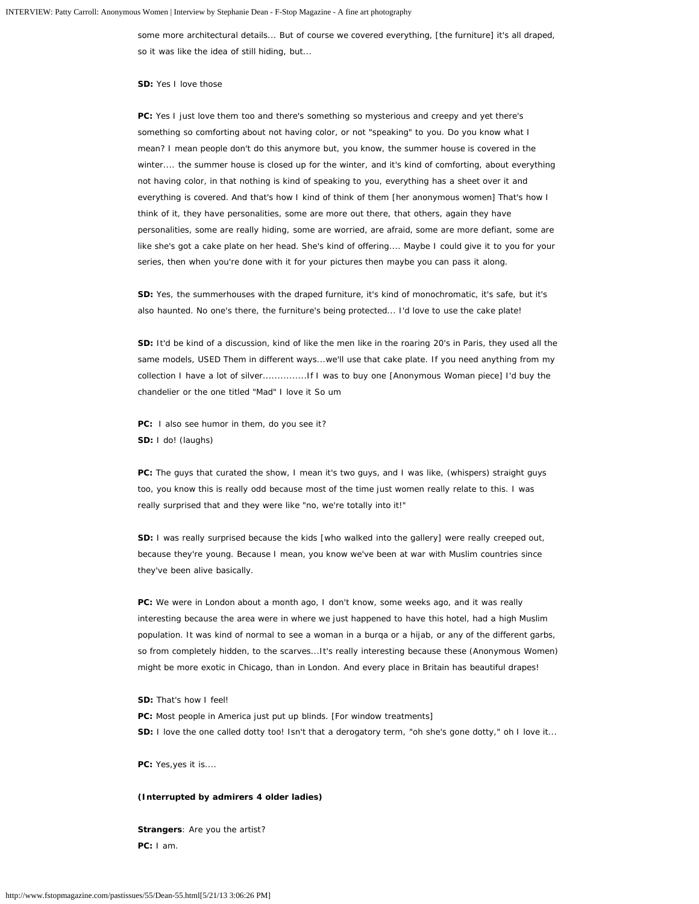some more architectural details... But of course we covered everything, [the furniture] it's all draped, so it was like the idea of still hiding, but...

## **SD:** Yes I love those

**PC:** Yes I just love them too and there's something so mysterious and creepy and yet there's something so comforting about not having color, or not "speaking" to you. Do you know what I mean? I mean people don't do this anymore but, you know, the summer house is covered in the winter.... the summer house is closed up for the winter, and it's kind of comforting, about everything not having color, in that nothing is kind of speaking to you, everything has a sheet over it and everything is covered. And that's how I kind of think of them [her anonymous women] That's how I think of it, they have personalities, some are more out there, that others, again they have personalities, some are really hiding, some are worried, are afraid, some are more defiant, some are like she's got a cake plate on her head. She's kind of offering.... Maybe I could give it to you for your series, then when you're done with it for your pictures then maybe you can pass it along.

**SD:** Yes, the summerhouses with the draped furniture, it's kind of monochromatic, it's safe, but it's also haunted. No one's there, the furniture's being protected... I'd love to use the cake plate!

**SD:** It'd be kind of a discussion, kind of like the men like in the roaring 20's in Paris, they used all the same models, USED Them in different ways...we'll use that cake plate. If you need anything from my collection I have a lot of silver...............If I was to buy one [Anonymous Woman piece] I'd buy the chandelier or the one titled "Mad" I love it So um

**PC:** I also see humor in them, do you see it? **SD:** I do! (laughs)

**PC:** The guys that curated the show, I mean it's two guys, and I was like, (whispers) straight guys too, you know this is really odd because most of the time just women really relate to this. I was really surprised that and they were like "no, we're totally into it!"

**SD:** I was really surprised because the kids [who walked into the gallery] were really creeped out, because they're young. Because I mean, you know we've been at war with Muslim countries since they've been alive basically.

**PC:** We were in London about a month ago, I don't know, some weeks ago, and it was really interesting because the area were in where we just happened to have this hotel, had a high Muslim population. It was kind of normal to see a woman in a burqa or a hijab, or any of the different garbs, so from completely hidden, to the scarves...It's really interesting because these (Anonymous Women) might be more exotic in Chicago, than in London. And every place in Britain has beautiful drapes!

**SD:** That's how I feel!

- PC: Most people in America just put up blinds. [For window treatments]
- **SD:** I love the one called dotty too! Isn't that a derogatory term, "oh she's gone dotty," oh I love it...

**PC:** Yes,yes it is....

#### **(Interrupted by admirers 4 older ladies)**

**Strangers**: Are you the artist? **PC:** I am.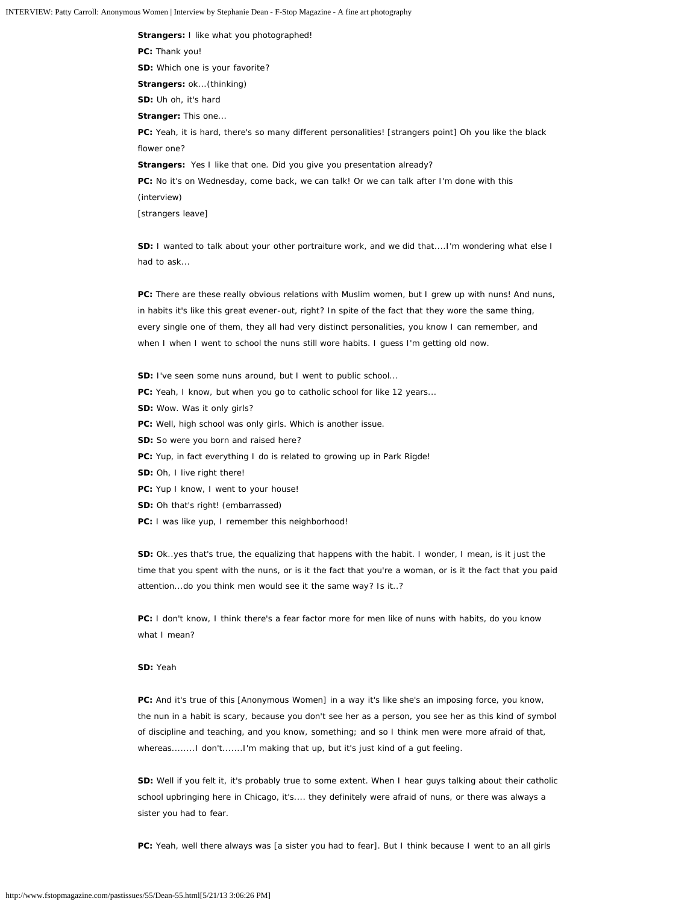**Strangers:** I like what you photographed! **PC:** Thank you! **SD:** Which one is your favorite? **Strangers:** ok...(thinking) **SD:** Uh oh, it's hard **Stranger:** This one... **PC:** Yeah, it is hard, there's so many different personalities! [strangers point] Oh you like the black flower one? **Strangers:** Yes I like that one. Did you give you presentation already? **PC:** No it's on Wednesday, come back, we can talk! Or we can talk after I'm done with this (interview) [strangers leave]

**SD:** I wanted to talk about your other portraiture work, and we did that....I'm wondering what else I had to ask...

PC: There are these really obvious relations with Muslim women, but I grew up with nuns! And nuns, in habits it's like this great evener-out, right? In spite of the fact that they wore the same thing, every single one of them, they all had very distinct personalities, you know I can remember, and when I when I went to school the nuns still wore habits. I guess I'm getting old now.

- **SD:** I've seen some nuns around, but I went to public school...
- **PC:** Yeah, I know, but when you go to catholic school for like 12 years...
- **SD:** Wow. Was it only girls?
- **PC:** Well, high school was only girls. Which is another issue.
- **SD:** So were you born and raised here?
- PC: Yup, in fact everything I do is related to growing up in Park Rigde!
- **SD:** Oh, I live right there!
- **PC:** Yup I know, I went to your house!
- **SD:** Oh that's right! (embarrassed)
- **PC:** I was like yup, I remember this neighborhood!

**SD:** Ok..yes that's true, the equalizing that happens with the habit. I wonder, I mean, is it just the time that you spent with the nuns, or is it the fact that you're a woman, or is it the fact that you paid attention...do you think men would see it the same way? Is it..?

**PC:** I don't know, I think there's a fear factor more for men like of nuns with habits, do you know what I mean?

## **SD:** Yeah

**PC:** And it's true of this [Anonymous Women] in a way it's like she's an imposing force, you know, the nun in a habit is scary, because you don't see her as a person, you see her as this kind of symbol of discipline and teaching, and you know, something; and so I think men were more afraid of that, whereas........I don't.......I'm making that up, but it's just kind of a gut feeling.

**SD:** Well if you felt it, it's probably true to some extent. When I hear guys talking about their catholic school upbringing here in Chicago, it's.... they definitely were afraid of nuns, or there was always a sister you had to fear.

**PC:** Yeah, well there always was [a sister you had to fear]. But I think because I went to an all girls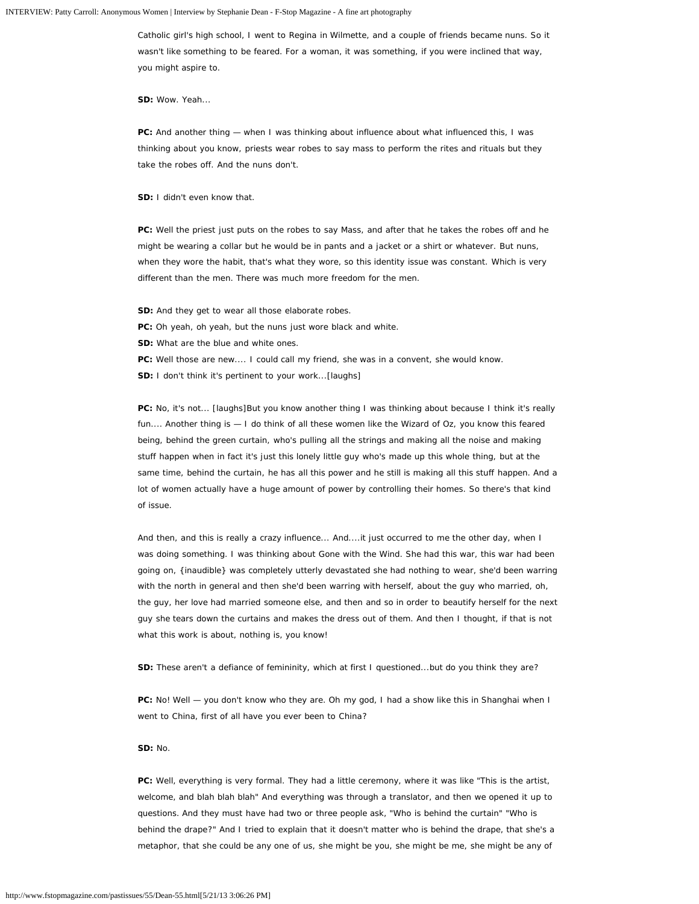Catholic girl's high school, I went to Regina in Wilmette, and a couple of friends became nuns. So it wasn't like something to be feared. For a woman, it was something, if you were inclined that way, you might aspire to.

**SD:** Wow. Yeah...

**PC:** And another thing — when I was thinking about influence about what influenced this, I was thinking about you know, priests wear robes to say mass to perform the rites and rituals but they take the robes off. And the nuns don't.

**SD:** I didn't even know that.

**PC:** Well the priest just puts on the robes to say Mass, and after that he takes the robes off and he might be wearing a collar but he would be in pants and a jacket or a shirt or whatever. But nuns, when they wore the habit, that's what they wore, so this identity issue was constant. Which is very different than the men. There was much more freedom for the men.

- **SD:** And they get to wear all those elaborate robes.
- **PC:** Oh yeah, oh yeah, but the nuns just wore black and white.
- **SD:** What are the blue and white ones.
- **PC:** Well those are new.... I could call my friend, she was in a convent, she would know.
- **SD:** I don't think it's pertinent to your work...[laughs]

PC: No, it's not... [laughs]But you know another thing I was thinking about because I think it's really fun.... Another thing is — I do think of all these women like the Wizard of Oz, you know this feared being, behind the green curtain, who's pulling all the strings and making all the noise and making stuff happen when in fact it's just this lonely little guy who's made up this whole thing, but at the same time, behind the curtain, he has all this power and he still is making all this stuff happen. And a lot of women actually have a huge amount of power by controlling their homes. So there's that kind of issue.

And then, and this is really a crazy influence... And....it just occurred to me the other day, when I was doing something. I was thinking about Gone with the Wind. She had this war, this war had been going on, {inaudible} was completely utterly devastated she had nothing to wear, she'd been warring with the north in general and then she'd been warring with herself, about the guy who married, oh, the guy, her love had married someone else, and then and so in order to beautify herself for the next guy she tears down the curtains and makes the dress out of them. And then I thought, if that is not what this work is about, nothing is, you know!

**SD:** These aren't a defiance of femininity, which at first I questioned...but do you think they are?

**PC:** No! Well — you don't know who they are. Oh my god, I had a show like this in Shanghai when I went to China, first of all have you ever been to China?

#### **SD:** No.

**PC:** Well, everything is very formal. They had a little ceremony, where it was like "This is the artist, welcome, and blah blah blah" And everything was through a translator, and then we opened it up to questions. And they must have had two or three people ask, "Who is behind the curtain" "Who is behind the drape?" And I tried to explain that it doesn't matter who is behind the drape, that she's a metaphor, that she could be any one of us, she might be you, she might be me, she might be any of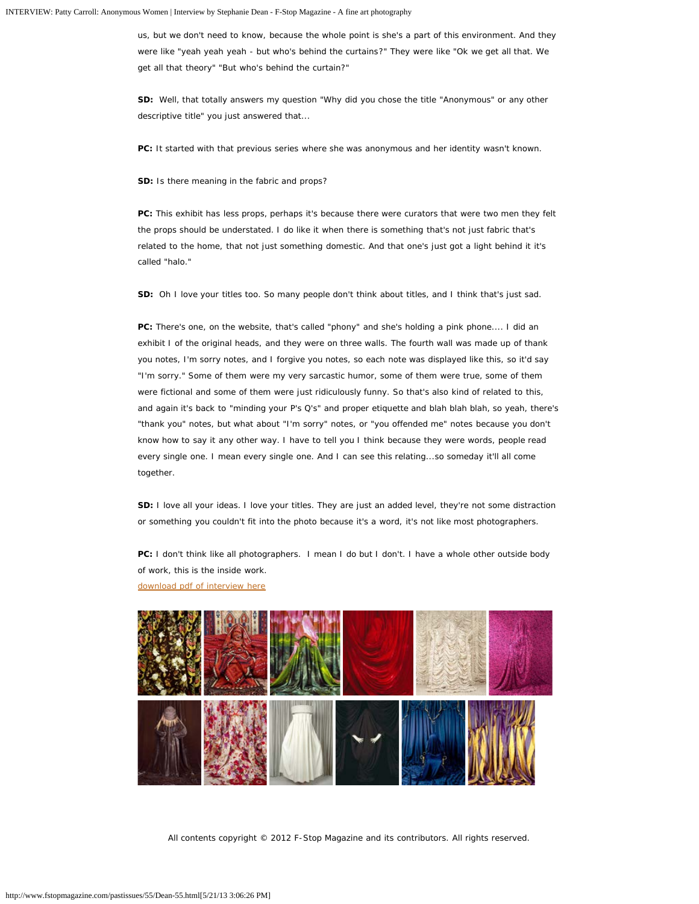us, but we don't need to know, because the whole point is she's a part of this environment. And they were like "yeah yeah yeah - but who's behind the curtains?" They were like "Ok we get all that. We get all that theory" "But who's behind the curtain?"

**SD:** Well, that totally answers my question "Why did you chose the title "Anonymous" or any other descriptive title" you just answered that...

**PC:** It started with that previous series where she was anonymous and her identity wasn't known.

**SD:** Is there meaning in the fabric and props?

PC: This exhibit has less props, perhaps it's because there were curators that were two men they felt the props should be understated. I do like it when there is something that's not just fabric that's related to the home, that not just something domestic. And that one's just got a light behind it it's called "halo."

**SD:** Oh I love your titles too. So many people don't think about titles, and I think that's just sad.

**PC:** There's one, on the website, that's called "phony" and she's holding a pink phone.... I did an exhibit I of the original heads, and they were on three walls. The fourth wall was made up of thank you notes, I'm sorry notes, and I forgive you notes, so each note was displayed like this, so it'd say "I'm sorry." Some of them were my very sarcastic humor, some of them were true, some of them were fictional and some of them were just ridiculously funny. So that's also kind of related to this, and again it's back to "minding your P's Q's" and proper etiquette and blah blah blah, so yeah, there's "thank you" notes, but what about "I'm sorry" notes, or "you offended me" notes because you don't know how to say it any other way. I have to tell you I think because they were words, people read every single one. I mean every single one. And I can see this relating...so someday it'll all come together.

**SD:** I love all your ideas. I love your titles. They are just an added level, they're not some distraction or something you couldn't fit into the photo because it's a word, it's not like most photographers.

**PC:** I don't think like all photographers. I mean I do but I don't. I have a whole other outside body of work, this is the inside work.

[download pdf of interview here](http://www.fstopmagazine.com/pastissues/55/SDean_Interview_Patty_Carroll.pdf)



All contents copyright © 2012 F-Stop Magazine and its contributors. All rights reserved.